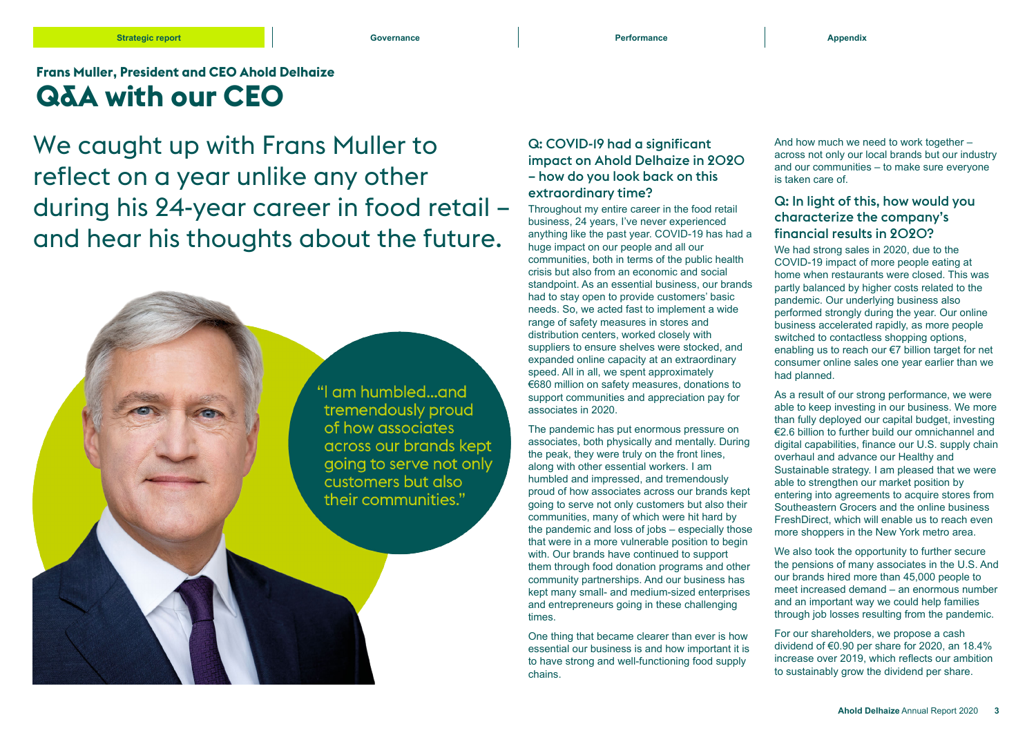#### **Strategic report Governance Performance Appendix**

**Frans Muller, President and CEO Ahold Delhaize Q&A with our CEO**

### We caught up with Frans Muller to reflect on a year unlike any other during his 24-year career in food retail – and hear his thoughts about the future.



#### Q: COVID-19 had a significant impact on Ahold Delhaize in 2020 – how do you look back on this extraordinary time?

Throughout my entire career in the food retail business, 24 years, I've never experienced anything like the past year. COVID-19 has had a huge impact on our people and all our communities, both in terms of the public health crisis but also from an economic and social standpoint. As an essential business, our brands had to stay open to provide customers' basic needs. So, we acted fast to implement a wide range of safety measures in stores and distribution centers, worked closely with suppliers to ensure shelves were stocked, and expanded online capacity at an extraordinary speed. All in all, we spent approximately €680 million on safety measures, donations to support communities and appreciation pay for associates in 2020.

The pandemic has put enormous pressure on associates, both physically and mentally. During the peak, they were truly on the front lines, along with other essential workers. I am humbled and impressed, and tremendously proud of how associates across our brands kept going to serve not only customers but also their communities, many of which were hit hard by the pandemic and loss of jobs – especially those that were in a more vulnerable position to begin with. Our brands have continued to support them through food donation programs and other community partnerships. And our business has kept many small- and medium-sized enterprises and entrepreneurs going in these challenging times.

One thing that became clearer than ever is how essential our business is and how important it is to have strong and well-functioning food supply chains.

And how much we need to work together – across not only our local brands but our industry and our communities – to make sure everyone is taken care of.

### Q: In light of this, how would you characterize the company's financial results in 2020?

We had strong sales in 2020, due to the COVID-19 impact of more people eating at home when restaurants were closed. This was partly balanced by higher costs related to the pandemic. Our underlying business also performed strongly during the year. Our online business accelerated rapidly, as more people switched to contactless shopping options, enabling us to reach our €7 billion target for net consumer online sales one year earlier than we had planned.

As a result of our strong performance, we were able to keep investing in our business. We more than fully deployed our capital budget, investing €2.6 billion to further build our omnichannel and digital capabilities, finance our U.S. supply chain overhaul and advance our Healthy and Sustainable strategy. I am pleased that we were able to strengthen our market position by entering into agreements to acquire stores from Southeastern Grocers and the online business FreshDirect, which will enable us to reach even more shoppers in the New York metro area.

We also took the opportunity to further secure the pensions of many associates in the U.S. And our brands hired more than 45,000 people to meet increased demand – an enormous number and an important way we could help families through job losses resulting from the pandemic.

For our shareholders, we propose a cash dividend of €0.90 per share for 2020, an 18.4% increase over 2019, which reflects our ambition to sustainably grow the dividend per share.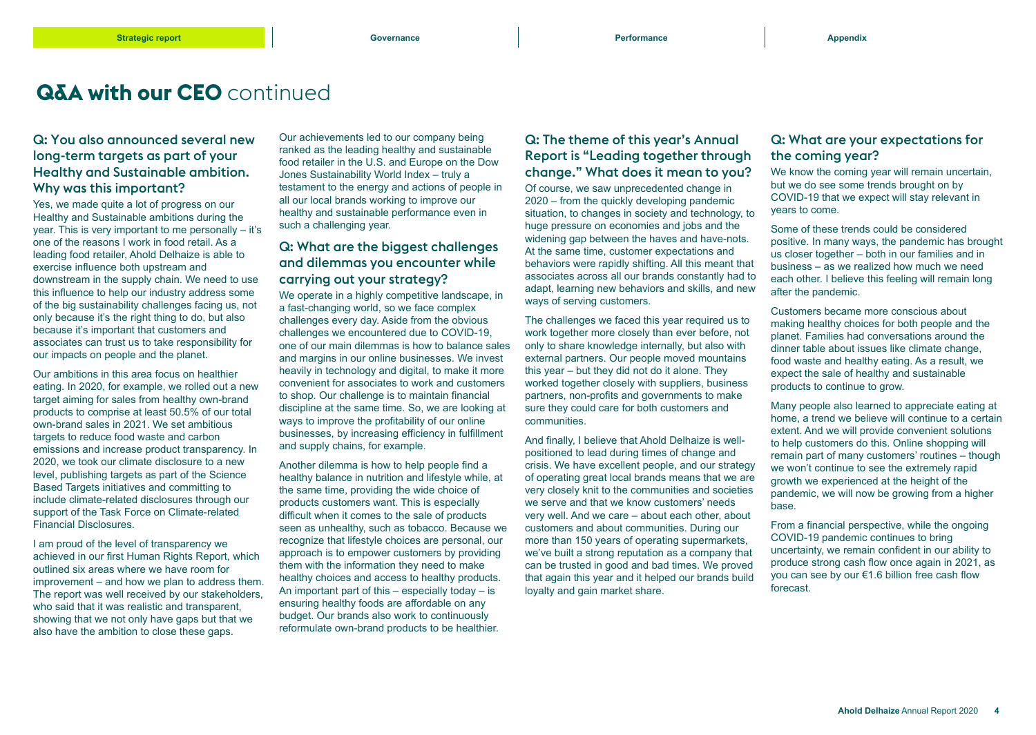### **Q&A with our CEO** continued

#### Q: You also announced several new long-term targets as part of your Healthy and Sustainable ambition. Why was this important?

Yes, we made quite a lot of progress on our Healthy and Sustainable ambitions during the year. This is very important to me personally – it's one of the reasons I work in food retail. As a leading food retailer, Ahold Delhaize is able to exercise influence both upstream and downstream in the supply chain. We need to use this influence to help our industry address some of the big sustainability challenges facing us, not only because it's the right thing to do, but also because it's important that customers and associates can trust us to take responsibility for our impacts on people and the planet.

Our ambitions in this area focus on healthier eating. In 2020, for example, we rolled out a new target aiming for sales from healthy own-brand products to comprise at least 50.5% of our total own-brand sales in 2021. We set ambitious targets to reduce food waste and carbon emissions and increase product transparency. In 2020, we took our climate disclosure to a new level, publishing targets as part of the Science Based Targets initiatives and committing to include climate-related disclosures through our support of the Task Force on Climate-related Financial Disclosures.

I am proud of the level of transparency we achieved in our first Human Rights Report, which outlined six areas where we have room for improvement – and how we plan to address them. The report was well received by our stakeholders, who said that it was realistic and transparent, showing that we not only have gaps but that we also have the ambition to close these gaps.

Our achievements led to our company being ranked as the leading healthy and sustainable food retailer in the U.S. and Europe on the Dow Jones Sustainability World Index – truly a testament to the energy and actions of people in all our local brands working to improve our healthy and sustainable performance even in such a challenging year.

#### Q: What are the biggest challenges and dilemmas you encounter while carrying out your strategy?

We operate in a highly competitive landscape, in a fast-changing world, so we face complex challenges every day. Aside from the obvious challenges we encountered due to COVID-19, one of our main dilemmas is how to balance sales and margins in our online businesses. We invest heavily in technology and digital, to make it more convenient for associates to work and customers to shop. Our challenge is to maintain financial discipline at the same time. So, we are looking at ways to improve the profitability of our online businesses, by increasing efficiency in fulfillment and supply chains, for example.

Another dilemma is how to help people find a healthy balance in nutrition and lifestyle while, at the same time, providing the wide choice of products customers want. This is especially difficult when it comes to the sale of products seen as unhealthy, such as tobacco. Because we recognize that lifestyle choices are personal, our approach is to empower customers by providing them with the information they need to make healthy choices and access to healthy products. An important part of this – especially today – is ensuring healthy foods are affordable on any budget. Our brands also work to continuously reformulate own-brand products to be healthier.

#### Q: The theme of this year's Annual Report is "Leading together through change." What does it mean to you?

Of course, we saw unprecedented change in 2020 – from the quickly developing pandemic situation, to changes in society and technology, to huge pressure on economies and jobs and the widening gap between the haves and have-nots. At the same time, customer expectations and behaviors were rapidly shifting. All this meant that associates across all our brands constantly had to adapt, learning new behaviors and skills, and new ways of serving customers.

The challenges we faced this year required us to work together more closely than ever before, not only to share knowledge internally, but also with external partners. Our people moved mountains this year – but they did not do it alone. They worked together closely with suppliers, business partners, non-profits and governments to make sure they could care for both customers and communities.

And finally, I believe that Ahold Delhaize is wellpositioned to lead during times of change and crisis. We have excellent people, and our strategy of operating great local brands means that we are very closely knit to the communities and societies we serve and that we know customers' needs very well. And we care – about each other, about customers and about communities. During our more than 150 years of operating supermarkets, we've built a strong reputation as a company that can be trusted in good and bad times. We proved that again this year and it helped our brands build loyalty and gain market share.

#### Q: What are your expectations for the coming year?

We know the coming year will remain uncertain, but we do see some trends brought on by COVID-19 that we expect will stay relevant in years to come.

Some of these trends could be considered positive. In many ways, the pandemic has brought us closer together – both in our families and in business – as we realized how much we need each other. I believe this feeling will remain long after the pandemic.

Customers became more conscious about making healthy choices for both people and the planet. Families had conversations around the dinner table about issues like climate change, food waste and healthy eating. As a result, we expect the sale of healthy and sustainable products to continue to grow.

Many people also learned to appreciate eating at home, a trend we believe will continue to a certain extent. And we will provide convenient solutions to help customers do this. Online shopping will remain part of many customers' routines – though we won't continue to see the extremely rapid growth we experienced at the height of the pandemic, we will now be growing from a higher base.

From a financial perspective, while the ongoing COVID-19 pandemic continues to bring uncertainty, we remain confident in our ability to produce strong cash flow once again in 2021, as you can see by our €1.6 billion free cash flow forecast.